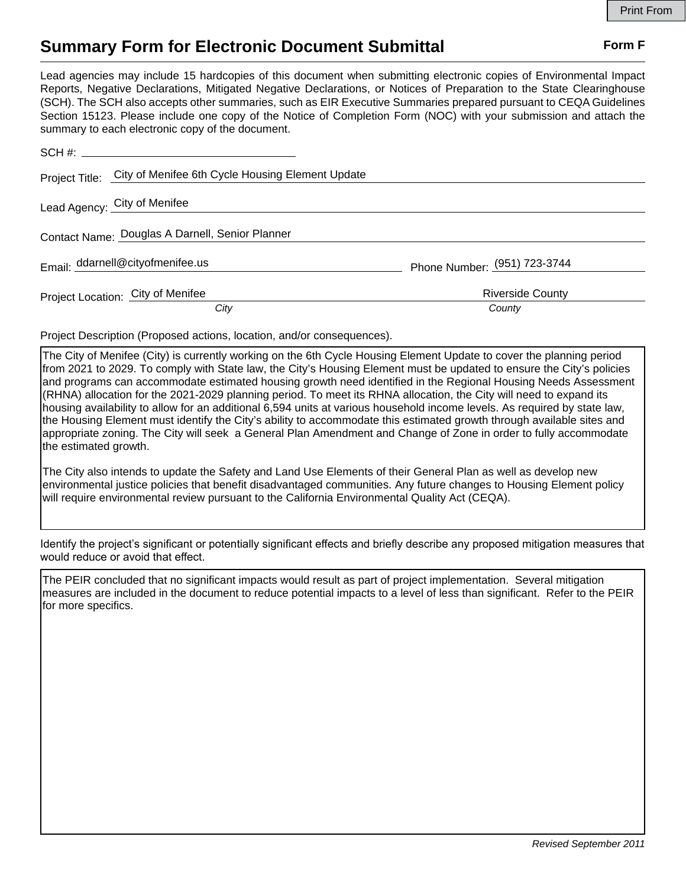## **Summary Form for Electronic Document Submittal Form F Form F**

Lead agencies may include 15 hardcopies of this document when submitting electronic copies of Environmental Impact Reports, Negative Declarations, Mitigated Negative Declarations, or Notices of Preparation to the State Clearinghouse (SCH). The SCH also accepts other summaries, such as EIR Executive Summaries prepared pursuant to CEQA Guidelines Section 15123. Please include one copy of the Notice of Completion Form (NOC) with your submission and attach the summary to each electronic copy of the document.

| Project Title: City of Menifee 6th Cycle Housing Element Update |                              |
|-----------------------------------------------------------------|------------------------------|
| Lead Agency: City of Menifee                                    |                              |
| Contact Name: Douglas A Darnell, Senior Planner                 |                              |
| Email: ddarnell@cityofmenifee.us                                | Phone Number: (951) 723-3744 |
| Project Location: City of Menifee                               | <b>Riverside County</b>      |
| City                                                            | County                       |

Project Description (Proposed actions, location, and/or consequences).

The City of Menifee (City) is currently working on the 6th Cycle Housing Element Update to cover the planning period from 2021 to 2029. To comply with State law, the City's Housing Element must be updated to ensure the City's policies and programs can accommodate estimated housing growth need identified in the Regional Housing Needs Assessment (RHNA) allocation for the 2021-2029 planning period. To meet its RHNA allocation, the City will need to expand its housing availability to allow for an additional 6,594 units at various household income levels. As required by state law, the Housing Element must identify the City's ability to accommodate this estimated growth through available sites and appropriate zoning. The City will seek a General Plan Amendment and Change of Zone in order to fully accommodate the estimated growth.

The City also intends to update the Safety and Land Use Elements of their General Plan as well as develop new environmental justice policies that benefit disadvantaged communities. Any future changes to Housing Element policy will require environmental review pursuant to the California Environmental Quality Act (CEQA).

Identify the project's significant or potentially significant effects and briefly describe any proposed mitigation measures that would reduce or avoid that effect.

The PEIR concluded that no significant impacts would result as part of project implementation. Several mitigation measures are included in the document to reduce potential impacts to a level of less than significant. Refer to the PEIR for more specifics.